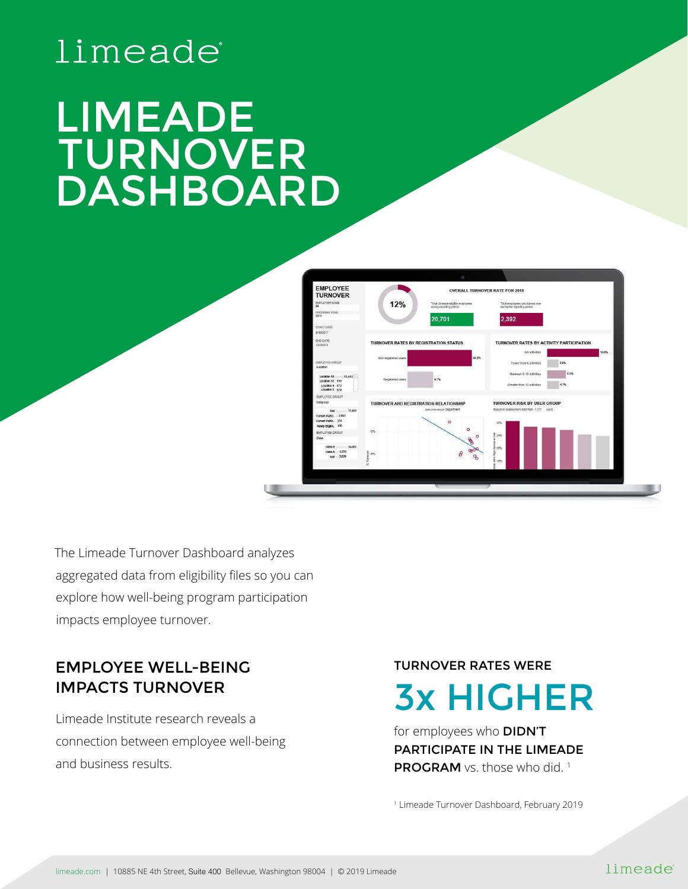# limeade®

# LIMEADE TURNOVER DASHBOARD



The Limeade Turnover Dashboard analyzes aggregated data from eligibility files so you can explore how well-being program participation impacts employee turnover.

# EMPLOYEE WELL-BEING IMPACTS TURNOVER

Limeade Institute research reveals a connection between employee well-being and business results.

TURNOVER RATES WERE

3x HIGHER

for employees who **DIDN'T** PARTICIPATE IN THE LIMEADE PROGRAM vs. those who did.<sup>1</sup>

1 Limeade Turnover Dashboard, February 2019

#### limeade